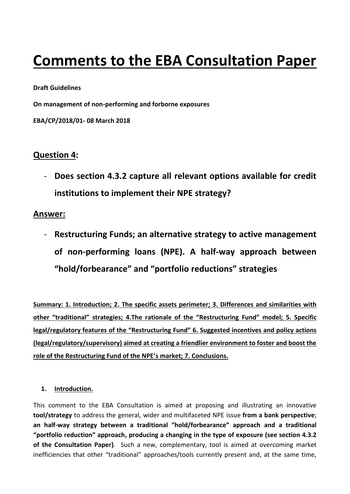# **Comments to the EBA Consultation Paper**

#### **Draft Guidelines**

**On management of non-performing and forborne exposures**

**EBA/CP/2018/01- 08 March 2018**

## **Question 4:**

- **Does section 4.3.2 capture all relevant options available for credit institutions to implement their NPE strategy?**

## **Answer:**

- **Restructuring Funds; an alternative strategy to active management of non-performing loans (NPE). A half-way approach between "hold/forbearance" and "portfolio reductions" strategies**

**Summary: 1. Introduction; 2. The specific assets perimeter; 3. Differences and similarities with other "traditional" strategies; 4.The rationale of the "Restructuring Fund" model; 5. Specific legal/regulatory features of the "Restructuring Fund" 6. Suggested incentives and policy actions (legal/regulatory/supervisory) aimed at creating a friendlier environment to foster and boost the role of the Restructuring Fund of the NPE's market; 7. Conclusions.**

## **1. Introduction.**

This comment to the EBA Consultation is aimed at proposing and illustrating an innovative **tool/strategy** to address the general, wider and multifaceted NPE issue **from a bank perspective**; **an half-way strategy between a traditional "hold/forbearance" approach and a traditional "portfolio reduction" approach, producing a changing in the type of exposure (see section 4.3.2 of the Consultation Paper)**. Such a new, complementary, tool is aimed at overcoming market inefficiencies that other "traditional" approaches/tools currently present and, at the same time,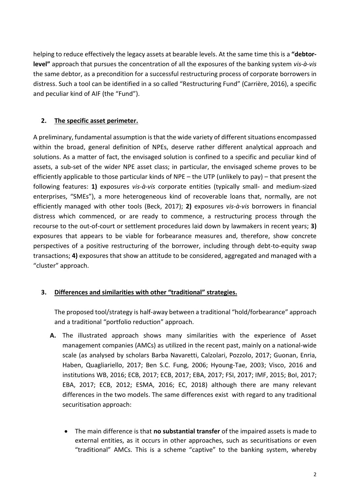helping to reduce effectively the legacy assets at bearable levels. At the same time this is a **"debtorlevel"** approach that pursues the concentration of all the exposures of the banking system *vis-à-vis* the same debtor, as a precondition for a successful restructuring process of corporate borrowers in distress. Such a tool can be identified in a so called "Restructuring Fund" (Carrière, 2016), a specific and peculiar kind of AIF (the "Fund").

## **2. The specific asset perimeter.**

A preliminary, fundamental assumption is that the wide variety of different situations encompassed within the broad, general definition of NPEs, deserve rather different analytical approach and solutions. As a matter of fact, the envisaged solution is confined to a specific and peculiar kind of assets, a sub-set of the wider NPE asset class; in particular, the envisaged scheme proves to be efficiently applicable to those particular kinds of NPE – the UTP (unlikely to pay) – that present the following features: **1)** exposures *vis-à-vis* corporate entities (typically small- and medium-sized enterprises, "SMEs"), a more heterogeneous kind of recoverable loans that, normally, are not efficiently managed with other tools (Beck, 2017); **2)** exposures *vis-à-vis* borrowers in financial distress which commenced, or are ready to commence, a restructuring process through the recourse to the out-of-court or settlement procedures laid down by lawmakers in recent years; **3)** exposures that appears to be viable for forbearance measures and, therefore, show concrete perspectives of a positive restructuring of the borrower, including through debt-to-equity swap transactions; **4)** exposures that show an attitude to be considered, aggregated and managed with a "cluster" approach.

## **3. Differences and similarities with other "traditional" strategies.**

The proposed tool/strategy is half-away between a traditional "hold/forbearance" approach and a traditional "portfolio reduction" approach.

- **A.** The illustrated approach shows many similarities with the experience of Asset management companies (AMCs) as utilized in the recent past, mainly on a national-wide scale (as analysed by scholars Barba Navaretti, Calzolari, Pozzolo, 2017; Guonan, Enria, Haben, Quagliariello, 2017; Ben S.C. Fung, 2006; Hyoung-Tae, 2003; Visco, 2016 and institutions WB, 2016; ECB, 2017; ECB, 2017; EBA, 2017; FSI, 2017; IMF, 2015; BoI, 2017; EBA, 2017; ECB, 2012; ESMA, 2016; EC, 2018) although there are many relevant differences in the two models. The same differences exist with regard to any traditional securitisation approach:
	- The main difference is that **no substantial transfer** of the impaired assets is made to external entities, as it occurs in other approaches, such as securitisations or even "traditional" AMCs. This is a scheme "captive" to the banking system, whereby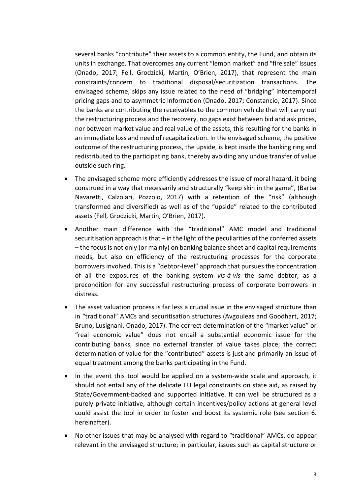several banks "contribute" their assets to a common entity, the Fund, and obtain its units in exchange. That overcomes any current "lemon market" and "fire sale" issues (Onado, 2017; Fell, Grodzicki, Martin, O'Brien, 2017), that represent the main constraints/concern to traditional disposal/securitization transactions. The envisaged scheme, skips any issue related to the need of "bridging" intertemporal pricing gaps and to asymmetric information (Onado, 2017; Constancio, 2017). Since the banks are contributing the receivables to the common vehicle that will carry out the restructuring process and the recovery, no gaps exist between bid and ask prices, nor between market value and real value of the assets, this resulting for the banks in an immediate loss and need of recapitalization. In the envisaged scheme, the positive outcome of the restructuring process, the upside, is kept inside the banking ring and redistributed to the participating bank, thereby avoiding any undue transfer of value outside such ring.

- The envisaged scheme more efficiently addresses the issue of moral hazard, it being construed in a way that necessarily and structurally "keep skin in the game", (Barba Navaretti, Calzolari, Pozzolo, 2017) with a retention of the "risk" (although transformed and diversified) as well as of the "upside" related to the contributed assets (Fell, Grodzicki, Martin, O'Brien, 2017).
- Another main difference with the "traditional" AMC model and traditional securitisation approach is that – in the light of the peculiarities of the conferred assets – the focus is not only (or mainly) on banking balance sheet and capital requirements needs, but also on efficiency of the restructuring processes for the corporate borrowers involved. This is a "debtor-level" approach that pursues the concentration of all the exposures of the banking system *vis-à-vis* the same debtor, as a precondition for any successful restructuring process of corporate borrowers in distress.
- The asset valuation process is far less a crucial issue in the envisaged structure than in "traditional" AMCs and securitisation structures (Avgouleas and Goodhart, 2017; Bruno, Lusignani, Onado, 2017). The correct determination of the "market value" or "real economic value" does not entail a substantial economic issue for the contributing banks, since no external transfer of value takes place; the correct determination of value for the "contributed" assets is just and primarily an issue of equal treatment among the banks participating in the Fund.
- In the event this tool would be applied on a system-wide scale and approach, it should not entail any of the delicate EU legal constraints on state aid, as raised by State/Government-backed and supported initiative. It can well be structured as a purely private initiative, although certain incentives/policy actions at general level could assist the tool in order to foster and boost its systemic role (see section 6. hereinafter).
- No other issues that may be analysed with regard to "traditional" AMCs, do appear relevant in the envisaged structure; in particular, issues such as capital structure or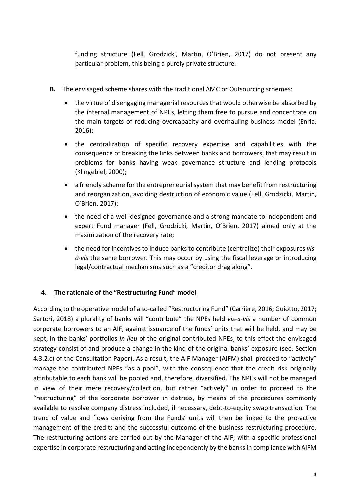funding structure (Fell, Grodzicki, Martin, O'Brien, 2017) do not present any particular problem, this being a purely private structure.

- **B.** The envisaged scheme shares with the traditional AMC or Outsourcing schemes:
	- the virtue of disengaging managerial resources that would otherwise be absorbed by the internal management of NPEs, letting them free to pursue and concentrate on the main targets of reducing overcapacity and overhauling business model (Enria, 2016);
	- the centralization of specific recovery expertise and capabilities with the consequence of breaking the links between banks and borrowers, that may result in problems for banks having weak governance structure and lending protocols (Klingebiel, 2000);
	- a friendly scheme for the entrepreneurial system that may benefit from restructuring and reorganization, avoiding destruction of economic value (Fell, Grodzicki, Martin, O'Brien, 2017);
	- the need of a well-designed governance and a strong mandate to independent and expert Fund manager (Fell, Grodzicki, Martin, O'Brien, 2017) aimed only at the maximization of the recovery rate;
	- the need for incentives to induce banks to contribute (centralize) their exposures *visà-vis* the same borrower. This may occur by using the fiscal leverage or introducing legal/contractual mechanisms such as a "creditor drag along".

## **4. The rationale of the "Restructuring Fund" model**

According to the operative model of a so-called "Restructuring Fund" (Carrière, 2016; Guiotto, 2017; Sartori, 2018) a plurality of banks will "contribute" the NPEs held *vis-à-vis* a number of common corporate borrowers to an AIF, against issuance of the funds' units that will be held, and may be kept, in the banks' portfolios *in lieu* of the original contributed NPEs; to this effect the envisaged strategy consist of and produce a change in the kind of the original banks' exposure (see. Section 4.3.2.c) of the Consultation Paper). As a result, the AIF Manager (AIFM) shall proceed to "actively" manage the contributed NPEs "as a pool", with the consequence that the credit risk originally attributable to each bank will be pooled and, therefore, diversified. The NPEs will not be managed in view of their mere recovery/collection, but rather "actively" in order to proceed to the "restructuring" of the corporate borrower in distress, by means of the procedures commonly available to resolve company distress included, if necessary, debt-to-equity swap transaction. The trend of value and flows deriving from the Funds' units will then be linked to the pro-active management of the credits and the successful outcome of the business restructuring procedure. The restructuring actions are carried out by the Manager of the AIF, with a specific professional expertise in corporate restructuring and acting independently by the banks in compliance with AIFM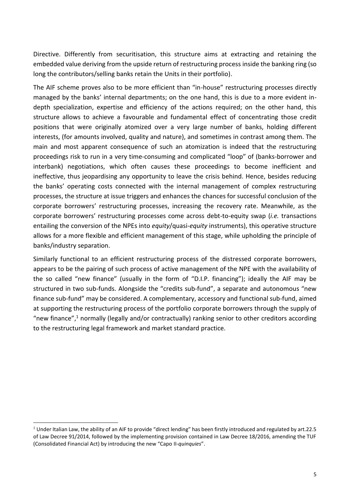Directive. Differently from securitisation, this structure aims at extracting and retaining the embedded value deriving from the upside return of restructuring process inside the banking ring (so long the contributors/selling banks retain the Units in their portfolio).

The AIF scheme proves also to be more efficient than "in-house" restructuring processes directly managed by the banks' internal departments; on the one hand, this is due to a more evident indepth specialization, expertise and efficiency of the actions required; on the other hand, this structure allows to achieve a favourable and fundamental effect of concentrating those credit positions that were originally atomized over a very large number of banks, holding different interests, (for amounts involved, quality and nature), and sometimes in contrast among them. The main and most apparent consequence of such an atomization is indeed that the restructuring proceedings risk to run in a very time-consuming and complicated "loop" of (banks-borrower and interbank) negotiations, which often causes these proceedings to become inefficient and ineffective, thus jeopardising any opportunity to leave the crisis behind. Hence, besides reducing the banks' operating costs connected with the internal management of complex restructuring processes, the structure at issue triggers and enhances the chances for successful conclusion of the corporate borrowers' restructuring processes, increasing the recovery rate. Meanwhile, as the corporate borrowers' restructuring processes come across debt-to-equity swap (*i.e.* transactions entailing the conversion of the NPEs into *equity*/quasi-*equity* instruments), this operative structure allows for a more flexible and efficient management of this stage, while upholding the principle of banks/industry separation.

Similarly functional to an efficient restructuring process of the distressed corporate borrowers, appears to be the pairing of such process of active management of the NPE with the availability of the so called "new finance" (usually in the form of "D.I.P. financing"); ideally the AIF may be structured in two sub-funds. Alongside the "credits sub-fund", a separate and autonomous "new finance sub-fund" may be considered. A complementary, accessory and functional sub-fund, aimed at supporting the restructuring process of the portfolio corporate borrowers through the supply of "new finance",<sup>1</sup> normally (legally and/or contractually) ranking senior to other creditors according to the restructuring legal framework and market standard practice.

-

 $1$  Under Italian Law, the ability of an AIF to provide "direct lending" has been firstly introduced and regulated by art.22.5 of Law Decree 91/2014, followed by the implementing provision contained in Law Decree 18/2016, amending the TUF (Consolidated Financial Act) by introducing the new "Capo II-*quinquies*".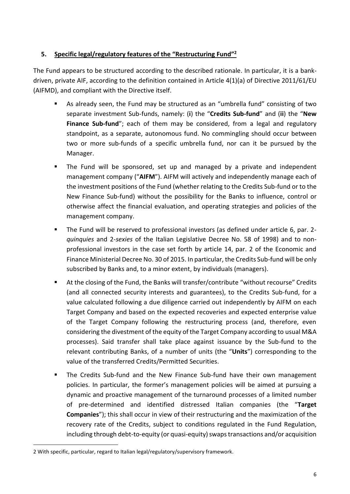## **5. Specific legal/regulatory features of the "Restructuring Fund" 2**

The Fund appears to be structured according to the described rationale. In particular, it is a bankdriven, private AIF, according to the definition contained in Article 4(1)(a) of Directive 2011/61/EU (AIFMD), and compliant with the Directive itself.

- As already seen, the Fund may be structured as an "umbrella fund" consisting of two separate investment Sub-funds, namely: (**i**) the "**Credits Sub-fund**" and (**ii**) the "**New Finance Sub-fund**"; each of them may be considered, from a legal and regulatory standpoint, as a separate, autonomous fund. No commingling should occur between two or more sub-funds of a specific umbrella fund, nor can it be pursued by the Manager.
- The Fund will be sponsored, set up and managed by a private and independent management company ("**AIFM**"). AIFM will actively and independently manage each of the investment positions of the Fund (whether relating to the Credits Sub-fund or to the New Finance Sub-fund) without the possibility for the Banks to influence, control or otherwise affect the financial evaluation, and operating strategies and policies of the management company.
- The Fund will be reserved to professional investors (as defined under article 6, par. 2 *quinquies* and 2-*sexies* of the Italian Legislative Decree No. 58 of 1998) and to nonprofessional investors in the case set forth by article 14, par. 2 of the Economic and Finance Ministerial Decree No. 30 of 2015. In particular, the Credits Sub-fund will be only subscribed by Banks and, to a minor extent, by individuals (managers).
- At the closing of the Fund, the Banks will transfer/contribute "without recourse" Credits (and all connected security interests and guarantees), to the Credits Sub-fund, for a value calculated following a due diligence carried out independently by AIFM on each Target Company and based on the expected recoveries and expected enterprise value of the Target Company following the restructuring process (and, therefore, even considering the divestment of the equity of the Target Company according to usual M&A processes). Said transfer shall take place against issuance by the Sub-fund to the relevant contributing Banks, of a number of units (the "**Units**") corresponding to the value of the transferred Credits/Permitted Securities.
- The Credits Sub-fund and the New Finance Sub-fund have their own management policies. In particular, the former's management policies will be aimed at pursuing a dynamic and proactive management of the turnaround processes of a limited number of pre-determined and identified distressed Italian companies (the "**Target Companies**"); this shall occur in view of their restructuring and the maximization of the recovery rate of the Credits, subject to conditions regulated in the Fund Regulation, including through debt-to-equity (or quasi-equity) swaps transactions and/or acquisition

1

<sup>2</sup> With specific, particular, regard to Italian legal/regulatory/supervisory framework.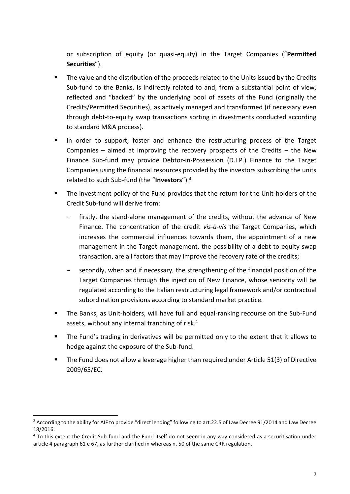or subscription of equity (or quasi-equity) in the Target Companies ("**Permitted Securities**").

- The value and the distribution of the proceeds related to the Units issued by the Credits Sub-fund to the Banks, is indirectly related to and, from a substantial point of view, reflected and "backed" by the underlying pool of assets of the Fund (originally the Credits/Permitted Securities), as actively managed and transformed (if necessary even through debt-to-equity swap transactions sorting in divestments conducted according to standard M&A process).
- In order to support, foster and enhance the restructuring process of the Target Companies – aimed at improving the recovery prospects of the Credits – the New Finance Sub-fund may provide Debtor-in-Possession (D.I.P.) Finance to the Target Companies using the financial resources provided by the investors subscribing the units related to such Sub-fund (the "**Investors**"). 3
- The investment policy of the Fund provides that the return for the Unit-holders of the Credit Sub-fund will derive from:
	- firstly, the stand-alone management of the credits, without the advance of New Finance. The concentration of the credit *vis-à-vis* the Target Companies, which increases the commercial influences towards them, the appointment of a new management in the Target management, the possibility of a debt-to-equity swap transaction, are all factors that may improve the recovery rate of the credits;
	- secondly, when and if necessary, the strengthening of the financial position of the Target Companies through the injection of New Finance, whose seniority will be regulated according to the Italian restructuring legal framework and/or contractual subordination provisions according to standard market practice.
- The Banks, as Unit-holders, will have full and equal-ranking recourse on the Sub-Fund assets, without any internal tranching of risk. 4
- The Fund's trading in derivatives will be permitted only to the extent that it allows to hedge against the exposure of the Sub-fund.
- The Fund does not allow a leverage higher than required under Article 51(3) of Directive 2009/65/EC.

**<sup>.</sup>** <sup>3</sup> According to the ability for AIF to provide "direct lending" following to art.22.5 of Law Decree 91/2014 and Law Decree 18/2016.

<sup>&</sup>lt;sup>4</sup> To this extent the Credit Sub-fund and the Fund itself do not seem in any way considered as a securitisation under article 4 paragraph 61 e 67, as further clarified in whereas n. 50 of the same CRR regulation.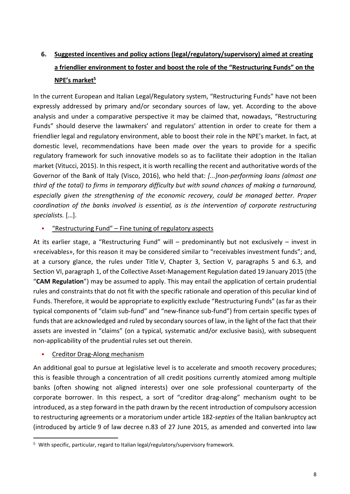## **6. Suggested incentives and policy actions (legal/regulatory/supervisory) aimed at creating a friendlier environment to foster and boost the role of the "Restructuring Funds" on the NPE's market<sup>5</sup>**

In the current European and Italian Legal/Regulatory system, "Restructuring Funds" have not been expressly addressed by primary and/or secondary sources of law, yet. According to the above analysis and under a comparative perspective it may be claimed that, nowadays, "Restructuring Funds" should deserve the lawmakers' and regulators' attention in order to create for them a friendlier legal and regulatory environment, able to boost their role in the NPE's market. In fact, at domestic level, recommendations have been made over the years to provide for a specific regulatory framework for such innovative models so as to facilitate their adoption in the Italian market (Vitucci, 2015). In this respect, it is worth recalling the recent and authoritative words of the Governor of the Bank of Italy (Visco, 2016), who held that: *[...]non-performing loans (almost one third of the total) to firms in temporary difficulty but with sound chances of making a turnaround, especially given the strengthening of the economic recovery, could be managed better. Proper coordination of the banks involved is essential, as is the intervention of corporate restructuring specialists.* […].

#### "Restructuring Fund" – Fine tuning of regulatory aspects

At its earlier stage, a "Restructuring Fund" will – predominantly but not exclusively – invest in «receivables», for this reason it may be considered similar to "receivables investment funds"; and, at a cursory glance, the rules under Title V, Chapter 3, Section V, paragraphs 5 and 6.3, and Section VI, paragraph 1, of the Collective Asset-Management Regulation dated 19 January 2015 (the "**CAM Regulation**") may be assumed to apply. This may entail the application of certain prudential rules and constraints that do not fit with the specific rationale and operation of this peculiar kind of Funds. Therefore, it would be appropriate to explicitly exclude "Restructuring Funds" (as far as their typical components of "claim sub-fund" and "new-finance sub-fund") from certain specific types of funds that are acknowledged and ruled by secondary sources of law, in the light of the fact that their assets are invested in "claims" (on a typical, systematic and/or exclusive basis), with subsequent non-applicability of the prudential rules set out therein.

## Creditor Drag-Along mechanism

-

An additional goal to pursue at legislative level is to accelerate and smooth recovery procedures; this is feasible through a concentration of all credit positions currently atomized among multiple banks (often showing not aligned interests) over one sole professional counterparty of the corporate borrower. In this respect, a sort of "creditor drag-along" mechanism ought to be introduced, as a step forward in the path drawn by the recent introduction of compulsory accession to restructuring agreements or a moratorium under article 182-*septies* of the Italian bankruptcy act (introduced by article 9 of law decree n.83 of 27 June 2015, as amended and converted into law

<sup>5</sup> With specific, particular, regard to Italian legal/regulatory/supervisory framework.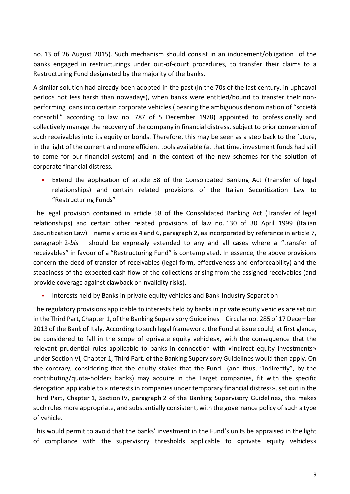no. 13 of 26 August 2015). Such mechanism should consist in an inducement/obligation of the banks engaged in restructurings under out-of-court procedures, to transfer their claims to a Restructuring Fund designated by the majority of the banks.

A similar solution had already been adopted in the past (in the 70s of the last century, in upheaval periods not less harsh than nowadays), when banks were entitled/bound to transfer their nonperforming loans into certain corporate vehicles ( bearing the ambiguous denomination of "società consortili" according to law no. 787 of 5 December 1978) appointed to professionally and collectively manage the recovery of the company in financial distress, subject to prior conversion of such receivables into its equity or bonds. Therefore, this may be seen as a step back to the future, in the light of the current and more efficient tools available (at that time, investment funds had still to come for our financial system) and in the context of the new schemes for the solution of corporate financial distress.

 Extend the application of article 58 of the Consolidated Banking Act (Transfer of legal relationships) and certain related provisions of the Italian Securitization Law to "Restructuring Funds"

The legal provision contained in article 58 of the Consolidated Banking Act (Transfer of legal relationships) and certain other related provisions of law no. 130 of 30 April 1999 (Italian Securitization Law) – namely articles 4 and 6, paragraph 2, as incorporated by reference in article 7, paragraph 2-*bis* – should be expressly extended to any and all cases where a "transfer of receivables" in favour of a "Restructuring Fund" is contemplated. In essence, the above provisions concern the deed of transfer of receivables (legal form, effectiveness and enforceability) and the steadiness of the expected cash flow of the collections arising from the assigned receivables (and provide coverage against clawback or invalidity risks).

Interests held by Banks in private equity vehicles and Bank-Industry Separation

The regulatory provisions applicable to interests held by banks in private equity vehicles are set out in the Third Part, Chapter 1, of the Banking Supervisory Guidelines – Circular no. 285 of 17 December 2013 of the Bank of Italy. According to such legal framework, the Fund at issue could, at first glance, be considered to fall in the scope of «private equity vehicles», with the consequence that the relevant prudential rules applicable to banks in connection with «indirect equity investments» under Section VI, Chapter 1, Third Part, of the Banking Supervisory Guidelines would then apply. On the contrary, considering that the equity stakes that the Fund (and thus, "indirectly", by the contributing/quota-holders banks) may acquire in the Target companies, fit with the specific derogation applicable to «interests in companies under temporary financial distress», set out in the Third Part, Chapter 1, Section IV, paragraph 2 of the Banking Supervisory Guidelines, this makes such rules more appropriate, and substantially consistent, with the governance policy of such a type of vehicle.

This would permit to avoid that the banks' investment in the Fund's units be appraised in the light of compliance with the supervisory thresholds applicable to «private equity vehicles»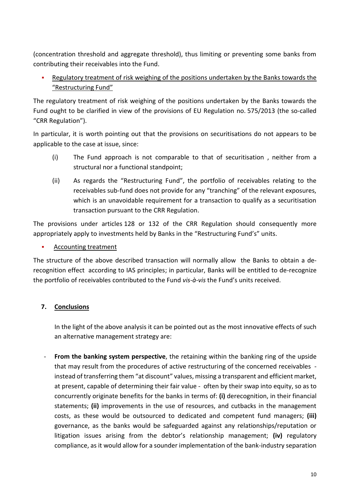(concentration threshold and aggregate threshold), thus limiting or preventing some banks from contributing their receivables into the Fund.

 Regulatory treatment of risk weighing of the positions undertaken by the Banks towards the "Restructuring Fund"

The regulatory treatment of risk weighing of the positions undertaken by the Banks towards the Fund ought to be clarified in view of the provisions of EU Regulation no. 575/2013 (the so-called "CRR Regulation").

In particular, it is worth pointing out that the provisions on securitisations do not appears to be applicable to the case at issue, since:

- (i) The Fund approach is not comparable to that of securitisation , neither from a structural nor a functional standpoint;
- (ii) As regards the "Restructuring Fund", the portfolio of receivables relating to the receivables sub-fund does not provide for any "tranching" of the relevant exposures, which is an unavoidable requirement for a transaction to qualify as a securitisation transaction pursuant to the CRR Regulation.

The provisions under articles 128 or 132 of the CRR Regulation should consequently more appropriately apply to investments held by Banks in the "Restructuring Fund's" units.

## Accounting treatment

The structure of the above described transaction will normally allow the Banks to obtain a derecognition effect according to IAS principles; in particular, Banks will be entitled to de-recognize the portfolio of receivables contributed to the Fund *vis-à-vis* the Fund's units received.

## **7. Conclusions**

In the light of the above analysis it can be pointed out as the most innovative effects of such an alternative management strategy are:

**From the banking system perspective**, the retaining within the banking ring of the upside that may result from the procedures of active restructuring of the concerned receivables instead of transferring them "at discount" values, missing a transparent and efficient market, at present, capable of determining their fair value - often by their swap into equity, so as to concurrently originate benefits for the banks in terms of: **(i)** derecognition, in their financial statements; **(ii)** improvements in the use of resources, and cutbacks in the management costs, as these would be outsourced to dedicated and competent fund managers; **(iii)** governance, as the banks would be safeguarded against any relationships/reputation or litigation issues arising from the debtor's relationship management; **(iv)** regulatory compliance, as it would allow for a sounder implementation of the bank-industry separation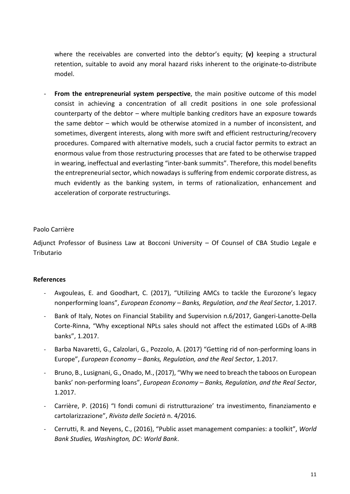where the receivables are converted into the debtor's equity; **(v)** keeping a structural retention, suitable to avoid any moral hazard risks inherent to the originate-to-distribute model.

- **From the entrepreneurial system perspective**, the main positive outcome of this model consist in achieving a concentration of all credit positions in one sole professional counterparty of the debtor – where multiple banking creditors have an exposure towards the same debtor – which would be otherwise atomized in a number of inconsistent, and sometimes, divergent interests, along with more swift and efficient restructuring/recovery procedures. Compared with alternative models, such a crucial factor permits to extract an enormous value from those restructuring processes that are fated to be otherwise trapped in wearing, ineffectual and everlasting "inter-bank summits". Therefore, this model benefits the entrepreneurial sector, which nowadays is suffering from endemic corporate distress, as much evidently as the banking system, in terms of rationalization, enhancement and acceleration of corporate restructurings.

#### Paolo Carrière

Adjunct Professor of Business Law at Bocconi University – Of Counsel of CBA Studio Legale e Tributario

#### **References**

- Avgouleas, E. and Goodhart, C. (2017), "Utilizing AMCs to tackle the Eurozone's legacy nonperforming loans", *European Economy – Banks, Regulation, and the Real Sector*, 1.2017.
- Bank of Italy, Notes on Financial Stability and Supervision n.6/2017, Gangeri-Lanotte-Della Corte-Rinna, "Why exceptional NPLs sales should not affect the estimated LGDs of A-IRB banks", 1.2017.
- Barba Navaretti, G., Calzolari, G., Pozzolo, A. (2017) "Getting rid of non-performing loans in Europe", *European Economy* – *Banks, Regulation, and the Real Sector*, 1.2017.
- Bruno, B., Lusignani, G., Onado, M., (2017), "Why we need to breach the taboos on European banks' non-performing loans", *European Economy – Banks, Regulation, and the Real Sector*, 1.2017.
- Carrière, P. (2016) "I fondi comuni di ristrutturazione' tra investimento, finanziamento e cartolarizzazione", *Rivista delle Società* n. 4/2016.
- Cerrutti, R. and Neyens, C., (2016), "Public asset management companies: a toolkit", *World Bank Studies, Washington, DC: World Bank*.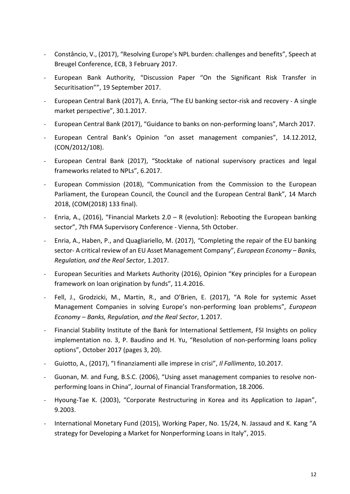- Constâncio, V., (2017), "Resolving Europe's NPL burden: challenges and benefits", Speech at Breugel Conference, ECB, 3 February 2017.
- European Bank Authority, "Discussion Paper "On the Significant Risk Transfer in Securitisation"", 19 September 2017.
- European Central Bank (2017), A. Enria, "The EU banking sector-risk and recovery A single market perspective", 30.1.2017.
- European Central Bank (2017), "Guidance to banks on non-performing loans", March 2017.
- European Central Bank's Opinion "on asset management companies", 14.12.2012, (CON/2012/108).
- European Central Bank (2017), "Stocktake of national supervisory practices and legal frameworks related to NPLs", 6.2017.
- European Commission (2018), "Communication from the Commission to the European Parliament, the European Council, the Council and the European Central Bank", 14 March 2018, (COM(2018) 133 final).
- Enria, A., (2016), "Financial Markets 2.0 R (evolution): Rebooting the European banking sector", 7th FMA Supervisory Conference - Vienna, 5th October.
- Enria, A., Haben, P., and Quagliariello, M. (2017), *"*Completing the repair of the EU banking sector- A critical review of an EU Asset Management Company", *European Economy – Banks, Regulation, and the Real Sector*, 1.2017.
- European Securities and Markets Authority (2016), Opinion "Key principles for a European framework on loan origination by funds", 11.4.2016.
- Fell, J., Grodzicki, M., Martin, R., and O'Brien, E. (2017), "A Role for systemic Asset Management Companies in solving Europe's non-performing loan problems", *European Economy – Banks, Regulation, and the Real Sector*, 1.2017.
- Financial Stability Institute of the Bank for International Settlement, FSI Insights on policy implementation no. 3, P. Baudino and H. Yu, "Resolution of non-performing loans policy options", October 2017 (pages 3, 20).
- Guiotto, A., (2017), "I finanziamenti alle imprese in crisi", *Il Fallimento*, 10.2017.
- Guonan, M. and Fung, B.S.C. (2006), "Using asset management companies to resolve nonperforming loans in China", Journal of Financial Transformation, 18.2006.
- Hyoung-Tae K. (2003), "Corporate Restructuring in Korea and its Application to Japan", 9.2003.
- International Monetary Fund (2015), Working Paper, No. 15/24, N. Jassaud and K. Kang "A strategy for Developing a Market for Nonperforming Loans in Italy", 2015.